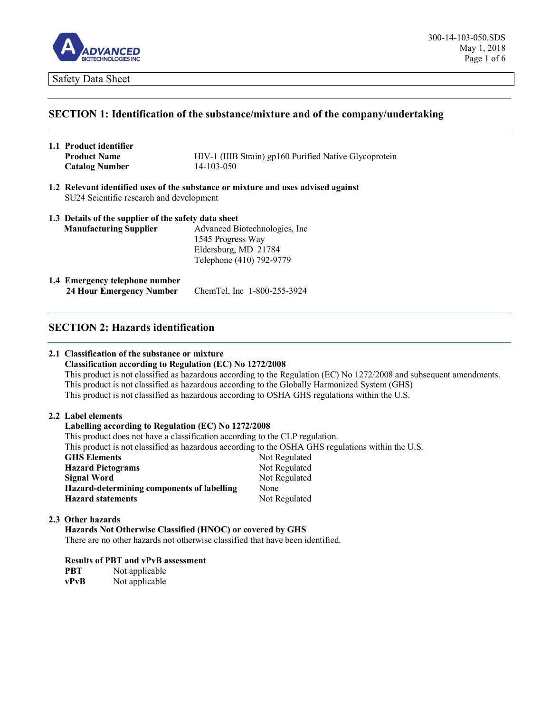

### **SECTION 1: Identification of the substance/mixture and of the company/undertaking**

- **1.1 Product identifier Product Name HIV-1** (IIIB Strain) gp160 Purified Native Glycoprotein **Catalog Number** 14-103-050
- **1.2 Relevant identified uses of the substance or mixture and uses advised against** SU24 Scientific research and development

| <b>Manufacturing Supplier</b> | Advanced Biotechnologies, Inc. |
|-------------------------------|--------------------------------|
|                               | 1545 Progress Way              |
|                               | Eldersburg, MD 21784           |
|                               | Telephone (410) 792-9779       |

**1.4 Emergency telephone number 24 Hour Emergency Number** ChemTel, Inc 1-800-255-3924

# **SECTION 2: Hazards identification**

#### **2.1 Classification of the substance or mixture**

#### **Classification according to Regulation (EC) No 1272/2008**

This product is not classified as hazardous according to the Regulation (EC) No 1272/2008 and subsequent amendments. This product is not classified as hazardous according to the Globally Harmonized System (GHS) This product is not classified as hazardous according to OSHA GHS regulations within the U.S.

#### **2.2 Label elements**

#### **Labelling according to Regulation (EC) No 1272/2008**

This product does not have a classification according to the CLP regulation.

This product is not classified as hazardous according to the OSHA GHS regulations within the U.S.

| <b>GHS Elements</b>                        | Not Regulated |
|--------------------------------------------|---------------|
| <b>Hazard Pictograms</b>                   | Not Regulated |
| Signal Word                                | Not Regulated |
| Hazard-determining components of labelling | None          |
| <b>Hazard statements</b>                   | Not Regulated |

#### **2.3 Other hazards**

**Hazards Not Otherwise Classified (HNOC) or covered by GHS** There are no other hazards not otherwise classified that have been identified.

**Results of PBT and vPvB assessment PBT** Not applicable

**vPvB** Not applicable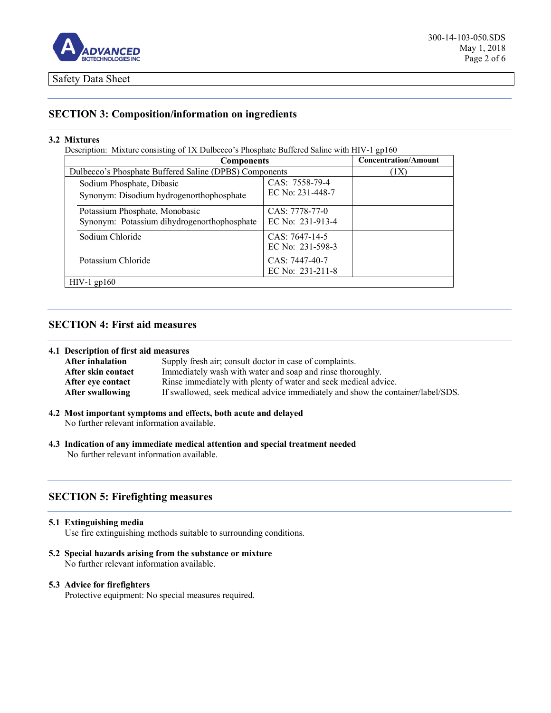

# **SECTION 3: Composition/information on ingredients**

#### **3.2 Mixtures**

Description: Mixture consisting of 1X Dulbecco's Phosphate Buffered Saline with HIV-1 gp160

| <b>Components</b>                                                             |                                    | <b>Concentration/Amount</b> |
|-------------------------------------------------------------------------------|------------------------------------|-----------------------------|
| Dulbecco's Phosphate Buffered Saline (DPBS) Components                        |                                    | (1X)                        |
| Sodium Phosphate, Dibasic<br>Synonym: Disodium hydrogenorthophosphate         | CAS: 7558-79-4<br>EC No: 231-448-7 |                             |
| Potassium Phosphate, Monobasic<br>Synonym: Potassium dihydrogenorthophosphate | CAS: 7778-77-0<br>EC No: 231-913-4 |                             |
| Sodium Chloride                                                               | CAS: 7647-14-5<br>EC No: 231-598-3 |                             |
| Potassium Chloride                                                            | CAS: 7447-40-7<br>EC No: 231-211-8 |                             |
| $HIV-1$ gp160                                                                 |                                    |                             |

# **SECTION 4: First aid measures**

#### **4.1 Description of first aid measures**

| <b>After inhalation</b> | Supply fresh air; consult doctor in case of complaints.                         |
|-------------------------|---------------------------------------------------------------------------------|
| After skin contact      | Immediately wash with water and soap and rinse thoroughly.                      |
| After eve contact       | Rinse immediately with plenty of water and seek medical advice.                 |
| After swallowing        | If swallowed, seek medical advice immediately and show the container/label/SDS. |

- **4.2 Most important symptoms and effects, both acute and delayed** No further relevant information available.
- **4.3 Indication of any immediate medical attention and special treatment needed** No further relevant information available.

# **SECTION 5: Firefighting measures**

#### **5.1 Extinguishing media**

Use fire extinguishing methods suitable to surrounding conditions.

**5.2 Special hazards arising from the substance or mixture**  No further relevant information available.

#### **5.3 Advice for firefighters**

Protective equipment: No special measures required.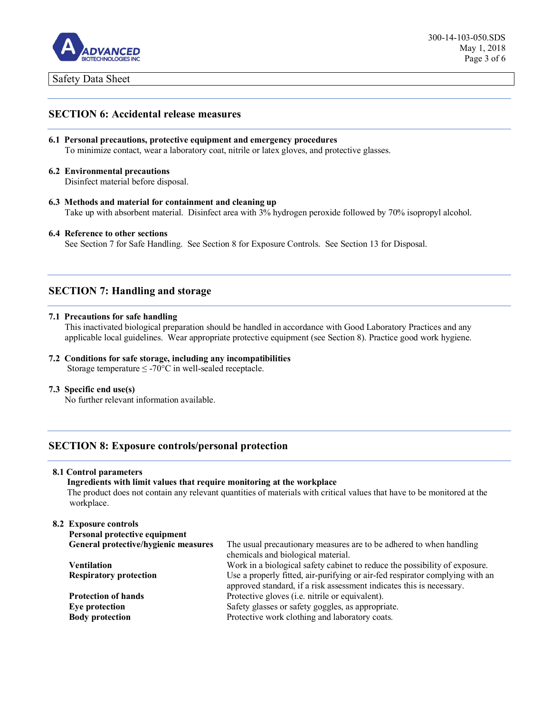

### **SECTION 6: Accidental release measures**

- **6.1 Personal precautions, protective equipment and emergency procedures** To minimize contact, wear a laboratory coat, nitrile or latex gloves, and protective glasses.
- **6.2 Environmental precautions**

Disinfect material before disposal.

**6.3 Methods and material for containment and cleaning up** Take up with absorbent material. Disinfect area with 3% hydrogen peroxide followed by 70% isopropyl alcohol.

#### **6.4 Reference to other sections**

See Section 7 for Safe Handling. See Section 8 for Exposure Controls. See Section 13 for Disposal.

# **SECTION 7: Handling and storage**

#### **7.1 Precautions for safe handling**

This inactivated biological preparation should be handled in accordance with Good Laboratory Practices and any applicable local guidelines. Wear appropriate protective equipment (see Section 8). Practice good work hygiene.

**7.2 Conditions for safe storage, including any incompatibilities** Storage temperature  $\leq$  -70°C in well-sealed receptacle.

#### **7.3 Specific end use(s)**

No further relevant information available.

### **SECTION 8: Exposure controls/personal protection**

#### **8.1 Control parameters**

**Ingredients with limit values that require monitoring at the workplace** The product does not contain any relevant quantities of materials with critical values that have to be monitored at the workplace.

#### **8.2 Exposure controls**

| Personal protective equipment        |                                                                                                                                                      |
|--------------------------------------|------------------------------------------------------------------------------------------------------------------------------------------------------|
| General protective/hygienic measures | The usual precautionary measures are to be adhered to when handling                                                                                  |
|                                      | chemicals and biological material.                                                                                                                   |
| Ventilation                          | Work in a biological safety cabinet to reduce the possibility of exposure.                                                                           |
| <b>Respiratory protection</b>        | Use a properly fitted, air-purifying or air-fed respirator complying with an<br>approved standard, if a risk assessment indicates this is necessary. |
| <b>Protection of hands</b>           | Protective gloves (i.e. nitrile or equivalent).                                                                                                      |
| Eye protection                       | Safety glasses or safety goggles, as appropriate.                                                                                                    |
| <b>Body protection</b>               | Protective work clothing and laboratory coats.                                                                                                       |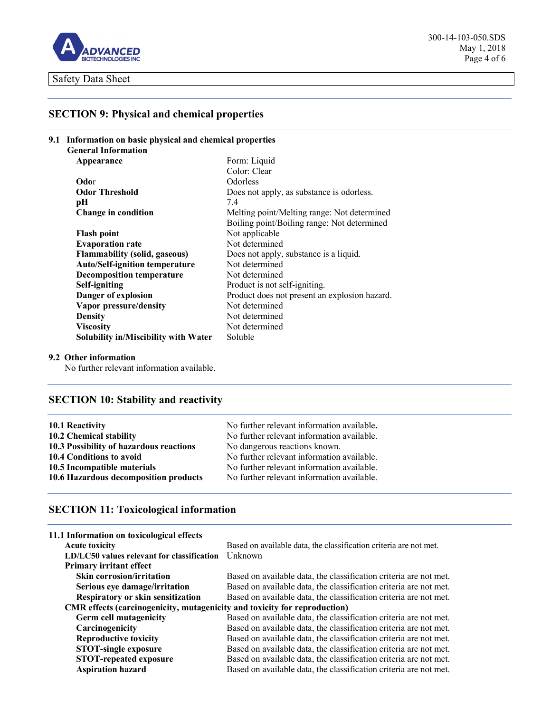

300-14-103-050.SDS May 1, 2018 Page 4 of 6

# **SECTION 9: Physical and chemical properties**

|  | 9.1 Information on basic physical and chemical properties<br><b>General Information</b> |                                               |  |
|--|-----------------------------------------------------------------------------------------|-----------------------------------------------|--|
|  |                                                                                         |                                               |  |
|  | Appearance                                                                              | Form: Liquid                                  |  |
|  |                                                                                         | Color: Clear                                  |  |
|  | Odor                                                                                    | Odorless                                      |  |
|  | <b>Odor Threshold</b>                                                                   | Does not apply, as substance is odorless.     |  |
|  | pН                                                                                      | 7.4                                           |  |
|  | Change in condition                                                                     | Melting point/Melting range: Not determined   |  |
|  |                                                                                         | Boiling point/Boiling range: Not determined   |  |
|  | <b>Flash point</b>                                                                      | Not applicable                                |  |
|  | <b>Evaporation rate</b>                                                                 | Not determined                                |  |
|  | <b>Flammability (solid, gaseous)</b>                                                    | Does not apply, substance is a liquid.        |  |
|  | <b>Auto/Self-ignition temperature</b>                                                   | Not determined                                |  |
|  | <b>Decomposition temperature</b>                                                        | Not determined                                |  |
|  | Self-igniting                                                                           | Product is not self-igniting.                 |  |
|  | Danger of explosion                                                                     | Product does not present an explosion hazard. |  |
|  | Vapor pressure/density                                                                  | Not determined                                |  |
|  | <b>Density</b>                                                                          | Not determined                                |  |
|  | <b>Viscosity</b>                                                                        | Not determined                                |  |
|  | <b>Solubility in/Miscibility with Water</b>                                             | Soluble                                       |  |

#### **9.2 Other information**

No further relevant information available.

# **SECTION 10: Stability and reactivity**

| 10.1 Reactivity                         | No further relevant information available. |
|-----------------------------------------|--------------------------------------------|
| 10.2 Chemical stability                 | No further relevant information available. |
| 10.3 Possibility of hazardous reactions | No dangerous reactions known.              |
| 10.4 Conditions to avoid                | No further relevant information available. |
| 10.5 Incompatible materials             | No further relevant information available. |
| 10.6 Hazardous decomposition products   | No further relevant information available. |

# **SECTION 11: Toxicological information**

| Based on available data, the classification criteria are not met.         |  |
|---------------------------------------------------------------------------|--|
| Unknown                                                                   |  |
|                                                                           |  |
| Based on available data, the classification criteria are not met.         |  |
| Based on available data, the classification criteria are not met.         |  |
| Based on available data, the classification criteria are not met.         |  |
| CMR effects (carcinogenicity, mutagenicity and toxicity for reproduction) |  |
| Based on available data, the classification criteria are not met.         |  |
| Based on available data, the classification criteria are not met.         |  |
| Based on available data, the classification criteria are not met.         |  |
| Based on available data, the classification criteria are not met.         |  |
| Based on available data, the classification criteria are not met.         |  |
| Based on available data, the classification criteria are not met.         |  |
|                                                                           |  |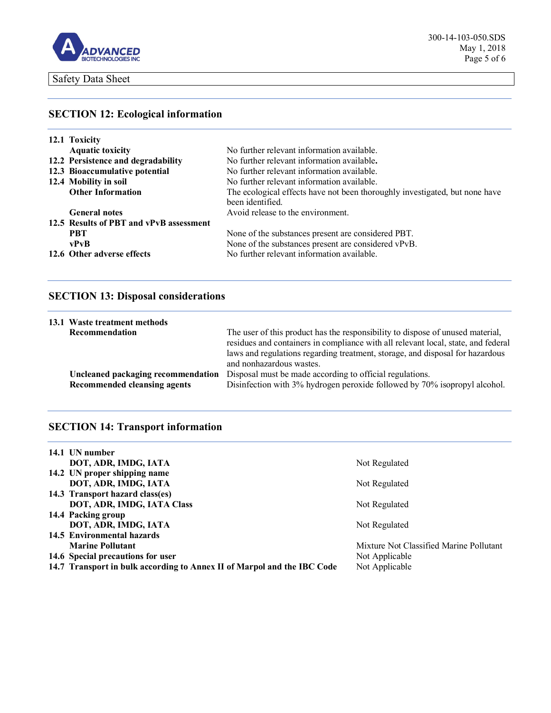

# **SECTION 12: Ecological information**

| 12.1 Toxicity                           |                                                                             |  |
|-----------------------------------------|-----------------------------------------------------------------------------|--|
| <b>Aquatic toxicity</b>                 | No further relevant information available.                                  |  |
| 12.2 Persistence and degradability      | No further relevant information available.                                  |  |
| 12.3 Bioaccumulative potential          | No further relevant information available.                                  |  |
| 12.4 Mobility in soil                   | No further relevant information available.                                  |  |
| <b>Other Information</b>                | The ecological effects have not been thoroughly investigated, but none have |  |
|                                         | been identified.                                                            |  |
| <b>General notes</b>                    | Avoid release to the environment.                                           |  |
| 12.5 Results of PBT and vPvB assessment |                                                                             |  |
| <b>PRT</b>                              | None of the substances present are considered PBT.                          |  |
| vPvB                                    | None of the substances present are considered vPvB.                         |  |
| 12.6 Other adverse effects              | No further relevant information available.                                  |  |

# **SECTION 13: Disposal considerations**

| 13.1 Waste treatment methods                                       |                                                                                                                                                                                                                                                                                  |  |
|--------------------------------------------------------------------|----------------------------------------------------------------------------------------------------------------------------------------------------------------------------------------------------------------------------------------------------------------------------------|--|
| Recommendation                                                     | The user of this product has the responsibility to dispose of unused material,<br>residues and containers in compliance with all relevant local, state, and federal<br>laws and regulations regarding treatment, storage, and disposal for hazardous<br>and nonhazardous wastes. |  |
| Uncleaned packaging recommendation<br>Recommended cleansing agents | Disposal must be made according to official regulations.<br>Disinfection with 3% hydrogen peroxide followed by 70% isopropyl alcohol.                                                                                                                                            |  |

# **SECTION 14: Transport information**

| 14.1 UN number                                                          |                                         |
|-------------------------------------------------------------------------|-----------------------------------------|
| DOT, ADR, IMDG, IATA                                                    | Not Regulated                           |
| 14.2 UN proper shipping name                                            |                                         |
| DOT, ADR, IMDG, IATA                                                    | Not Regulated                           |
| 14.3 Transport hazard class(es)                                         |                                         |
| DOT, ADR, IMDG, IATA Class                                              | Not Regulated                           |
| 14.4 Packing group                                                      |                                         |
| DOT, ADR, IMDG, IATA                                                    | Not Regulated                           |
| 14.5 Environmental hazards                                              |                                         |
| <b>Marine Pollutant</b>                                                 | Mixture Not Classified Marine Pollutant |
| 14.6 Special precautions for user                                       | Not Applicable                          |
| 14.7 Transport in bulk according to Annex II of Marpol and the IBC Code | Not Applicable                          |